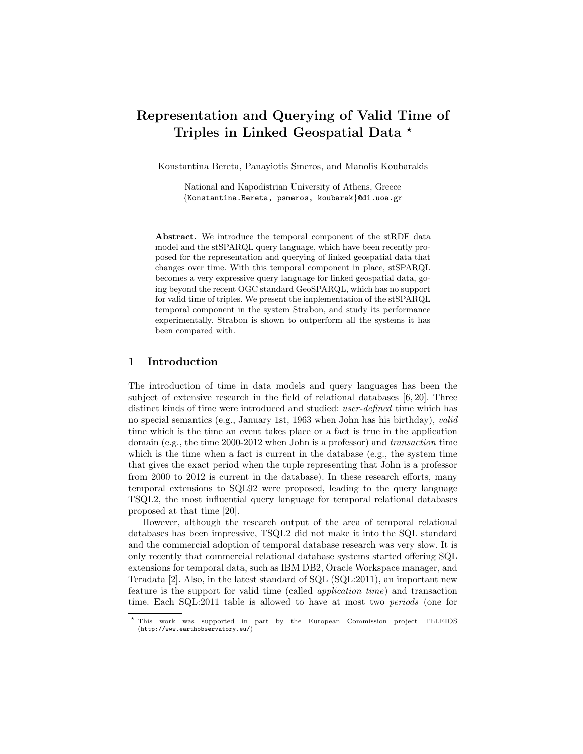# Representation and Querying of Valid Time of Triples in Linked Geospatial Data \*

Konstantina Bereta, Panayiotis Smeros, and Manolis Koubarakis

National and Kapodistrian University of Athens, Greece {Konstantina.Bereta, psmeros, koubarak}@di.uoa.gr

Abstract. We introduce the temporal component of the stRDF data model and the stSPARQL query language, which have been recently proposed for the representation and querying of linked geospatial data that changes over time. With this temporal component in place, stSPARQL becomes a very expressive query language for linked geospatial data, going beyond the recent OGC standard GeoSPARQL, which has no support for valid time of triples. We present the implementation of the stSPARQL temporal component in the system Strabon, and study its performance experimentally. Strabon is shown to outperform all the systems it has been compared with.

### 1 Introduction

The introduction of time in data models and query languages has been the subject of extensive research in the field of relational databases [6, 20]. Three distinct kinds of time were introduced and studied: *user-defined* time which has no special semantics (e.g., January 1st, 1963 when John has his birthday), valid time which is the time an event takes place or a fact is true in the application domain (e.g., the time 2000-2012 when John is a professor) and transaction time which is the time when a fact is current in the database (e.g., the system time that gives the exact period when the tuple representing that John is a professor from 2000 to 2012 is current in the database). In these research efforts, many temporal extensions to SQL92 were proposed, leading to the query language TSQL2, the most influential query language for temporal relational databases proposed at that time [20].

However, although the research output of the area of temporal relational databases has been impressive, TSQL2 did not make it into the SQL standard and the commercial adoption of temporal database research was very slow. It is only recently that commercial relational database systems started offering SQL extensions for temporal data, such as IBM DB2, Oracle Workspace manager, and Teradata [2]. Also, in the latest standard of SQL (SQL:2011), an important new feature is the support for valid time (called application time) and transaction time. Each SQL:2011 table is allowed to have at most two periods (one for

<sup>?</sup> This work was supported in part by the European Commission project TELEIOS (http://www.earthobservatory.eu/)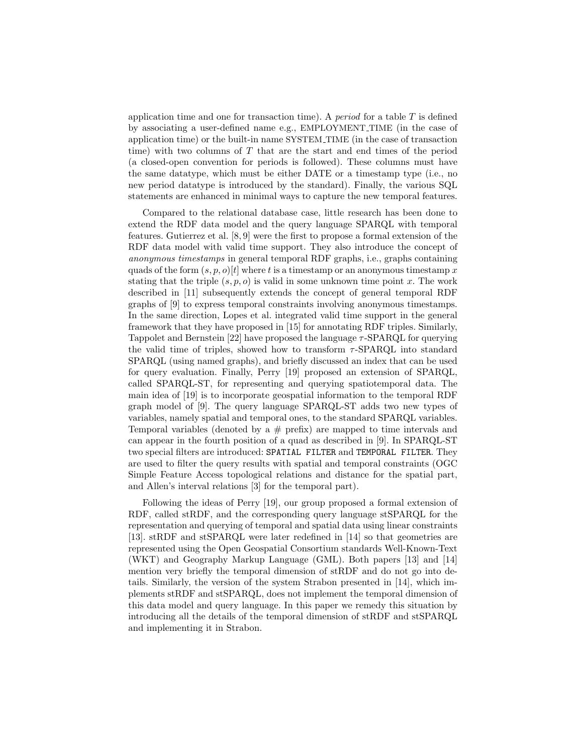application time and one for transaction time). A *period* for a table  $T$  is defined by associating a user-defined name e.g., EMPLOYMENT TIME (in the case of application time) or the built-in name SYSTEM TIME (in the case of transaction time) with two columns of T that are the start and end times of the period (a closed-open convention for periods is followed). These columns must have the same datatype, which must be either DATE or a timestamp type (i.e., no new period datatype is introduced by the standard). Finally, the various SQL statements are enhanced in minimal ways to capture the new temporal features.

Compared to the relational database case, little research has been done to extend the RDF data model and the query language SPARQL with temporal features. Gutierrez et al. [8, 9] were the first to propose a formal extension of the RDF data model with valid time support. They also introduce the concept of anonymous timestamps in general temporal RDF graphs, i.e., graphs containing quads of the form  $(s, p, o)[t]$  where t is a timestamp or an anonymous timestamp x stating that the triple  $(s, p, o)$  is valid in some unknown time point x. The work described in [11] subsequently extends the concept of general temporal RDF graphs of [9] to express temporal constraints involving anonymous timestamps. In the same direction, Lopes et al. integrated valid time support in the general framework that they have proposed in [15] for annotating RDF triples. Similarly, Tappolet and Bernstein [22] have proposed the language  $\tau$ -SPARQL for querying the valid time of triples, showed how to transform  $\tau$ -SPARQL into standard SPARQL (using named graphs), and briefly discussed an index that can be used for query evaluation. Finally, Perry [19] proposed an extension of SPARQL, called SPARQL-ST, for representing and querying spatiotemporal data. The main idea of [19] is to incorporate geospatial information to the temporal RDF graph model of [9]. The query language SPARQL-ST adds two new types of variables, namely spatial and temporal ones, to the standard SPARQL variables. Temporal variables (denoted by a  $#$  prefix) are mapped to time intervals and can appear in the fourth position of a quad as described in [9]. In SPARQL-ST two special filters are introduced: SPATIAL FILTER and TEMPORAL FILTER. They are used to filter the query results with spatial and temporal constraints (OGC Simple Feature Access topological relations and distance for the spatial part, and Allen's interval relations [3] for the temporal part).

Following the ideas of Perry [19], our group proposed a formal extension of RDF, called stRDF, and the corresponding query language stSPARQL for the representation and querying of temporal and spatial data using linear constraints [13]. stRDF and stSPARQL were later redefined in [14] so that geometries are represented using the Open Geospatial Consortium standards Well-Known-Text (WKT) and Geography Markup Language (GML). Both papers [13] and [14] mention very briefly the temporal dimension of stRDF and do not go into details. Similarly, the version of the system Strabon presented in [14], which implements stRDF and stSPARQL, does not implement the temporal dimension of this data model and query language. In this paper we remedy this situation by introducing all the details of the temporal dimension of stRDF and stSPARQL and implementing it in Strabon.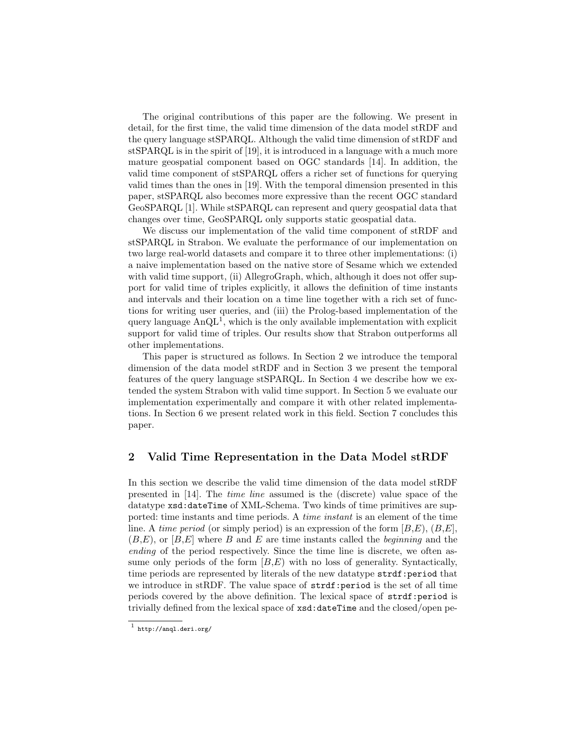The original contributions of this paper are the following. We present in detail, for the first time, the valid time dimension of the data model stRDF and the query language stSPARQL. Although the valid time dimension of stRDF and stSPARQL is in the spirit of [19], it is introduced in a language with a much more mature geospatial component based on OGC standards [14]. In addition, the valid time component of stSPARQL offers a richer set of functions for querying valid times than the ones in [19]. With the temporal dimension presented in this paper, stSPARQL also becomes more expressive than the recent OGC standard GeoSPARQL [1]. While stSPARQL can represent and query geospatial data that changes over time, GeoSPARQL only supports static geospatial data.

We discuss our implementation of the valid time component of stRDF and stSPARQL in Strabon. We evaluate the performance of our implementation on two large real-world datasets and compare it to three other implementations: (i) a naive implementation based on the native store of Sesame which we extended with valid time support, (ii) AllegroGraph, which, although it does not offer support for valid time of triples explicitly, it allows the definition of time instants and intervals and their location on a time line together with a rich set of functions for writing user queries, and (iii) the Prolog-based implementation of the query language  $AnQL<sup>1</sup>$ , which is the only available implementation with explicit support for valid time of triples. Our results show that Strabon outperforms all other implementations.

This paper is structured as follows. In Section 2 we introduce the temporal dimension of the data model stRDF and in Section 3 we present the temporal features of the query language stSPARQL. In Section 4 we describe how we extended the system Strabon with valid time support. In Section 5 we evaluate our implementation experimentally and compare it with other related implementations. In Section 6 we present related work in this field. Section 7 concludes this paper.

#### 2 Valid Time Representation in the Data Model stRDF

In this section we describe the valid time dimension of the data model stRDF presented in [14]. The time line assumed is the (discrete) value space of the datatype xsd:dateTime of XML-Schema. Two kinds of time primitives are supported: time instants and time periods. A time instant is an element of the time line. A time period (or simply period) is an expression of the form  $[B,E)$ ,  $(B,E]$ ,  $(B, E)$ , or  $[B, E]$  where B and E are time instants called the *beginning* and the ending of the period respectively. Since the time line is discrete, we often assume only periods of the form  $[B,E]$  with no loss of generality. Syntactically, time periods are represented by literals of the new datatype strdf: period that we introduce in stRDF. The value space of strdf:period is the set of all time periods covered by the above definition. The lexical space of strdf:period is trivially defined from the lexical space of xsd:dateTime and the closed/open pe-

 $^1$  http://anql.deri.org/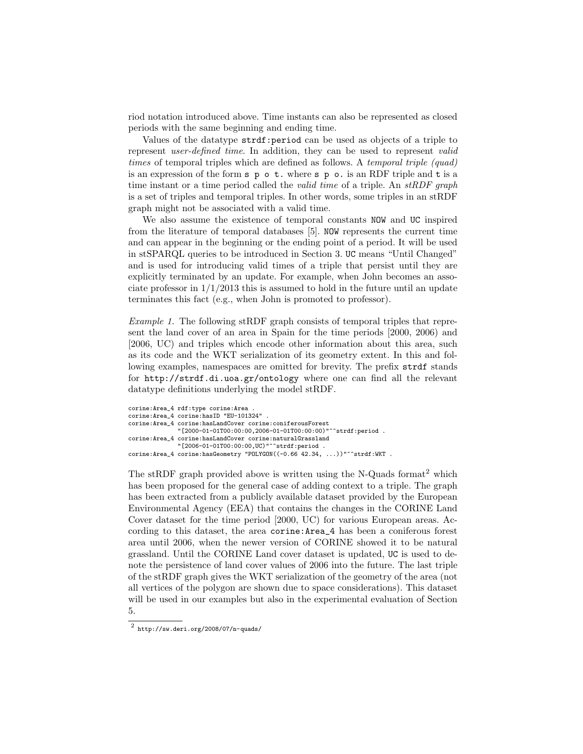riod notation introduced above. Time instants can also be represented as closed periods with the same beginning and ending time.

Values of the datatype strdf:period can be used as objects of a triple to represent *user-defined time*. In addition, they can be used to represent *valid* times of temporal triples which are defined as follows. A temporal triple (quad) is an expression of the form  $s \, p \circ t$ . where  $s \, p \circ s$ . is an RDF triple and  $t$  is a time instant or a time period called the *valid time* of a triple. An *stRDF graph* is a set of triples and temporal triples. In other words, some triples in an stRDF graph might not be associated with a valid time.

We also assume the existence of temporal constants NOW and UC inspired from the literature of temporal databases [5]. NOW represents the current time and can appear in the beginning or the ending point of a period. It will be used in stSPARQL queries to be introduced in Section 3. UC means "Until Changed" and is used for introducing valid times of a triple that persist until they are explicitly terminated by an update. For example, when John becomes an associate professor in  $1/1/2013$  this is assumed to hold in the future until an update terminates this fact (e.g., when John is promoted to professor).

Example 1. The following stRDF graph consists of temporal triples that represent the land cover of an area in Spain for the time periods [2000, 2006) and [2006, UC) and triples which encode other information about this area, such as its code and the WKT serialization of its geometry extent. In this and following examples, namespaces are omitted for brevity. The prefix strdf stands for http://strdf.di.uoa.gr/ontology where one can find all the relevant datatype definitions underlying the model stRDF.

```
corine:Area_4 rdf:type corine:Area .
corine:Area_4 corine:hasID "EU-101324" .
corine:Area_4 corine:hasLandCover corine:coniferousForest
               "[2000-01-01T00:00:00,2006-01-01T00:00:00)"^^strdf:period .
corine:Area_4 corine:hasLandCover corine:naturalGrassland
               "[2006-01-01T00:00:00,UC)"^^strdf:period .
\verb|corine:Area_4| \verb|corine:hasGeometry "POLYGON((-0.6642.34, \ldots))" ``strdf: WKT \ .
```
The stRDF graph provided above is written using the N-Quads format<sup>2</sup> which has been proposed for the general case of adding context to a triple. The graph has been extracted from a publicly available dataset provided by the European Environmental Agency (EEA) that contains the changes in the CORINE Land Cover dataset for the time period [2000, UC) for various European areas. According to this dataset, the area corine:Area\_4 has been a coniferous forest area until 2006, when the newer version of CORINE showed it to be natural grassland. Until the CORINE Land cover dataset is updated, UC is used to denote the persistence of land cover values of 2006 into the future. The last triple of the stRDF graph gives the WKT serialization of the geometry of the area (not all vertices of the polygon are shown due to space considerations). This dataset will be used in our examples but also in the experimental evaluation of Section 5.

 $^2$  http://sw.deri.org/2008/07/n-quads/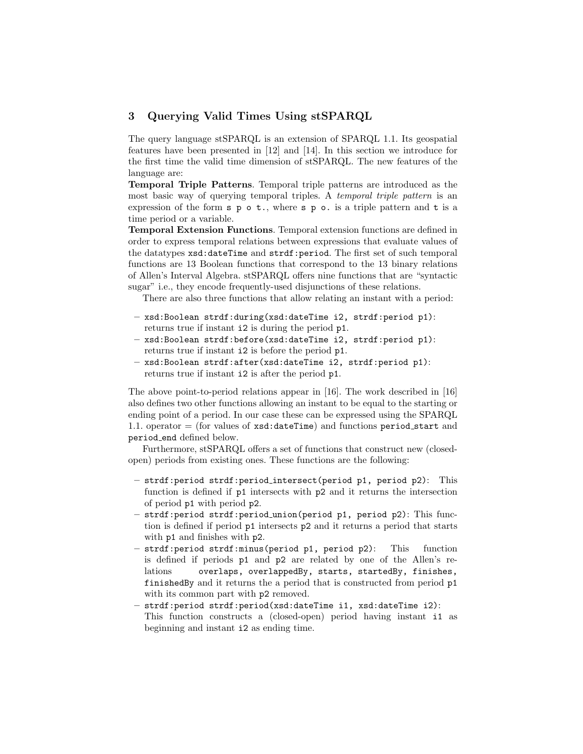## 3 Querying Valid Times Using stSPARQL

The query language stSPARQL is an extension of SPARQL 1.1. Its geospatial features have been presented in [12] and [14]. In this section we introduce for the first time the valid time dimension of stSPARQL. The new features of the language are:

Temporal Triple Patterns. Temporal triple patterns are introduced as the most basic way of querying temporal triples. A temporal triple pattern is an expression of the form  $s \notin \mathfrak{p}$  o t., where  $s \notin \mathfrak{p}$  o. is a triple pattern and t is a time period or a variable.

Temporal Extension Functions. Temporal extension functions are defined in order to express temporal relations between expressions that evaluate values of the datatypes xsd:dateTime and strdf:period. The first set of such temporal functions are 13 Boolean functions that correspond to the 13 binary relations of Allen's Interval Algebra. stSPARQL offers nine functions that are "syntactic sugar" i.e., they encode frequently-used disjunctions of these relations.

There are also three functions that allow relating an instant with a period:

- xsd:Boolean strdf:during(xsd:dateTime i2, strdf:period p1): returns true if instant i2 is during the period p1.
- xsd:Boolean strdf:before(xsd:dateTime i2, strdf:period p1): returns true if instant i2 is before the period p1.
- xsd:Boolean strdf:after(xsd:dateTime i2, strdf:period p1): returns true if instant i2 is after the period p1.

The above point-to-period relations appear in [16]. The work described in [16] also defines two other functions allowing an instant to be equal to the starting or ending point of a period. In our case these can be expressed using the SPARQL 1.1. operator  $=$  (for values of  $xsd:dateTime$ ) and functions period start and period end defined below.

Furthermore, stSPARQL offers a set of functions that construct new (closedopen) periods from existing ones. These functions are the following:

- strdf:period strdf:period intersect(period p1, period p2): This function is defined if p1 intersects with p2 and it returns the intersection of period p1 with period p2.
- strdf:period strdf:period union(period p1, period p2): This function is defined if period p1 intersects p2 and it returns a period that starts with  $p1$  and finishes with  $p2$ .
- strdf:period strdf:minus(period p1, period p2): This function is defined if periods p1 and p2 are related by one of the Allen's relations overlaps, overlappedBy, starts, startedBy, finishes, finishedBy and it returns the a period that is constructed from period p1 with its common part with p2 removed.
- strdf:period strdf:period(xsd:dateTime i1, xsd:dateTime i2): This function constructs a (closed-open) period having instant i1 as beginning and instant i2 as ending time.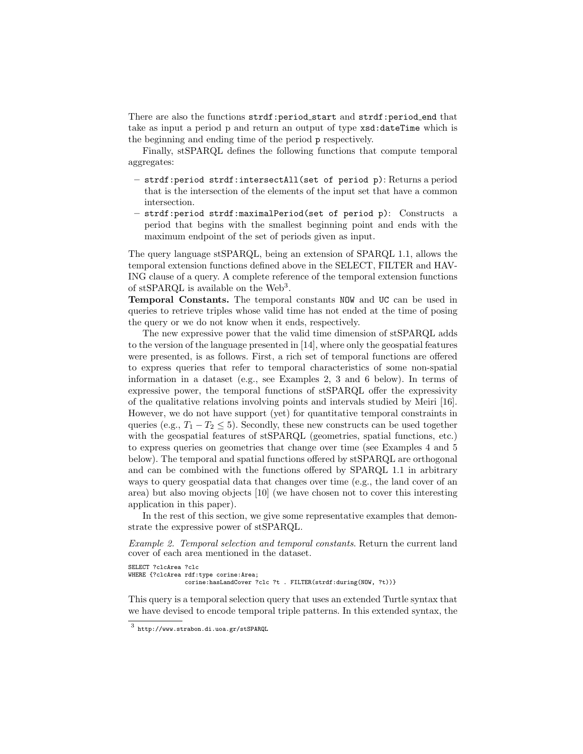There are also the functions strdf:period start and strdf:period end that take as input a period p and return an output of type xsd:dateTime which is the beginning and ending time of the period p respectively.

Finally, stSPARQL defines the following functions that compute temporal aggregates:

- strdf:period strdf:intersectAll(set of period p): Returns a period that is the intersection of the elements of the input set that have a common intersection.
- strdf:period strdf:maximalPeriod(set of period p): Constructs a period that begins with the smallest beginning point and ends with the maximum endpoint of the set of periods given as input.

The query language stSPARQL, being an extension of SPARQL 1.1, allows the temporal extension functions defined above in the SELECT, FILTER and HAV-ING clause of a query. A complete reference of the temporal extension functions of stSPARQL is available on the Web<sup>3</sup>.

Temporal Constants. The temporal constants NOW and UC can be used in queries to retrieve triples whose valid time has not ended at the time of posing the query or we do not know when it ends, respectively.

The new expressive power that the valid time dimension of stSPARQL adds to the version of the language presented in [14], where only the geospatial features were presented, is as follows. First, a rich set of temporal functions are offered to express queries that refer to temporal characteristics of some non-spatial information in a dataset (e.g., see Examples 2, 3 and 6 below). In terms of expressive power, the temporal functions of stSPARQL offer the expressivity of the qualitative relations involving points and intervals studied by Meiri [16]. However, we do not have support (yet) for quantitative temporal constraints in queries (e.g.,  $T_1 - T_2 \leq 5$ ). Secondly, these new constructs can be used together with the geospatial features of stSPARQL (geometries, spatial functions, etc.) to express queries on geometries that change over time (see Examples 4 and 5 below). The temporal and spatial functions offered by stSPARQL are orthogonal and can be combined with the functions offered by SPARQL 1.1 in arbitrary ways to query geospatial data that changes over time (e.g., the land cover of an area) but also moving objects [10] (we have chosen not to cover this interesting application in this paper).

In the rest of this section, we give some representative examples that demonstrate the expressive power of stSPARQL.

Example 2. Temporal selection and temporal constants. Return the current land cover of each area mentioned in the dataset.

```
SELECT ?clcArea ?clc
WHERE {?clcArea rdf:type corine:Area;
                corine:hasLandCover ?clc ?t . FILTER(strdf:during(NOW, ?t))}
```
This query is a temporal selection query that uses an extended Turtle syntax that we have devised to encode temporal triple patterns. In this extended syntax, the

 $^3$  http://www.strabon.di.uoa.gr/stSPARQL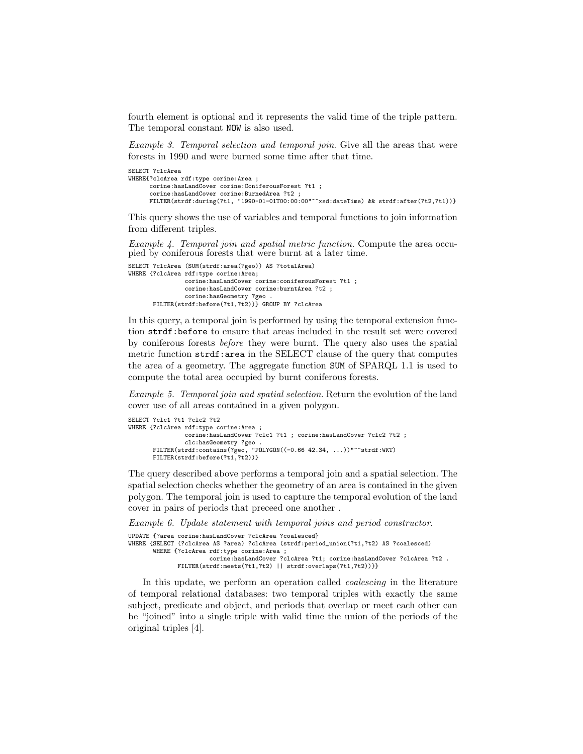fourth element is optional and it represents the valid time of the triple pattern. The temporal constant NOW is also used.

Example 3. Temporal selection and temporal join. Give all the areas that were forests in 1990 and were burned some time after that time.

```
SELECT ?clcArea
WHERE{?clcArea rdf:type corine:Area ;
      corine:hasLandCover corine:ConiferousForest ?t1 ;
      corine:hasLandCover corine:BurnedArea ?t2 ;
      FILTER(strdf:during(?t1, "1990-01-01T00:00:00"^^xsd:dateTime) && strdf:after(?t2,?t1))}
```
This query shows the use of variables and temporal functions to join information from different triples.

Example 4. Temporal join and spatial metric function. Compute the area occupied by coniferous forests that were burnt at a later time.

```
SELECT ?clcArea (SUM(strdf:area(?geo)) AS ?totalArea)
WHERE {?clcArea rdf:type corine:Area;
                corine:hasLandCover corine:coniferousForest ?t1 ;
                corine:hasLandCover corine:burntArea ?t2 ;
                corine:hasGeometry ?geo .
      FILTER(strdf:before(?t1,?t2))} GROUP BY ?clcArea
```
In this query, a temporal join is performed by using the temporal extension function strdf:before to ensure that areas included in the result set were covered by coniferous forests before they were burnt. The query also uses the spatial metric function strdf:area in the SELECT clause of the query that computes the area of a geometry. The aggregate function SUM of SPARQL 1.1 is used to compute the total area occupied by burnt coniferous forests.

Example 5. Temporal join and spatial selection. Return the evolution of the land cover use of all areas contained in a given polygon.

```
SELECT ?clc1 ?t1 ?clc2 ?t2
WHERE {?clcArea rdf:type corine:Area ;
                 corine:hasLandCover ?clc1 ?t1 ; corine:hasLandCover ?clc2 ?t2 ;
        clc:hasGeometry ?geo .
FILTER(strdf:contains(?geo, "POLYGON((-0.66 42.34, ...))"^^strdf:WKT)
       FILTER(strdf:before(?t1,?t2))}
```
The query described above performs a temporal join and a spatial selection. The spatial selection checks whether the geometry of an area is contained in the given polygon. The temporal join is used to capture the temporal evolution of the land cover in pairs of periods that preceed one another .

Example 6. Update statement with temporal joins and period constructor.

```
UPDATE {?area corine:hasLandCover ?clcArea ?coalesced}
WHERE {SELECT (?clcArea AS ?area) ?clcArea (strdf:period_union(?t1,?t2) AS ?coalesced)
      WHERE {?clcArea rdf:type corine:Area ;
                       corine:hasLandCover ?clcArea ?t1; corine:hasLandCover ?clcArea ?t2 .
             FILTER(strdf:meets(?t1,?t2) || strdf:overlaps(?t1,?t2))}}
```
In this update, we perform an operation called *coalescing* in the literature of temporal relational databases: two temporal triples with exactly the same subject, predicate and object, and periods that overlap or meet each other can be "joined" into a single triple with valid time the union of the periods of the original triples [4].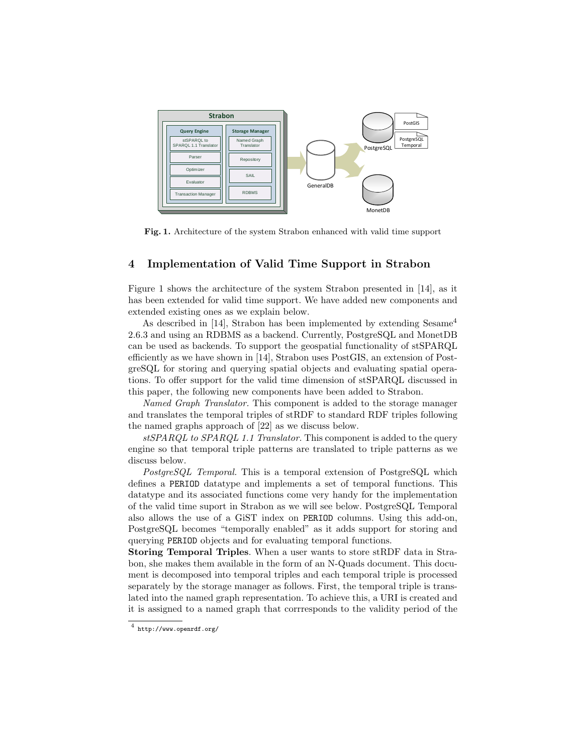

Fig. 1. Architecture of the system Strabon enhanced with valid time support

## 4 Implementation of Valid Time Support in Strabon

Figure 1 shows the architecture of the system Strabon presented in [14], as it has been extended for valid time support. We have added new components and extended existing ones as we explain below.

As described in [14], Strabon has been implemented by extending Sesame<sup>4</sup> 2.6.3 and using an RDBMS as a backend. Currently, PostgreSQL and MonetDB can be used as backends. To support the geospatial functionality of stSPARQL efficiently as we have shown in [14], Strabon uses PostGIS, an extension of PostgreSQL for storing and querying spatial objects and evaluating spatial operations. To offer support for the valid time dimension of stSPARQL discussed in this paper, the following new components have been added to Strabon.

Named Graph Translator. This component is added to the storage manager and translates the temporal triples of stRDF to standard RDF triples following the named graphs approach of [22] as we discuss below.

stSPARQL to SPARQL 1.1 Translator. This component is added to the query engine so that temporal triple patterns are translated to triple patterns as we discuss below.

PostgreSQL Temporal. This is a temporal extension of PostgreSQL which defines a PERIOD datatype and implements a set of temporal functions. This datatype and its associated functions come very handy for the implementation of the valid time suport in Strabon as we will see below. PostgreSQL Temporal also allows the use of a GiST index on PERIOD columns. Using this add-on, PostgreSQL becomes "temporally enabled" as it adds support for storing and querying PERIOD objects and for evaluating temporal functions.

Storing Temporal Triples. When a user wants to store stRDF data in Strabon, she makes them available in the form of an N-Quads document. This document is decomposed into temporal triples and each temporal triple is processed separately by the storage manager as follows. First, the temporal triple is translated into the named graph representation. To achieve this, a URI is created and it is assigned to a named graph that corrresponds to the validity period of the

 $^4$  http://www.openrdf.org/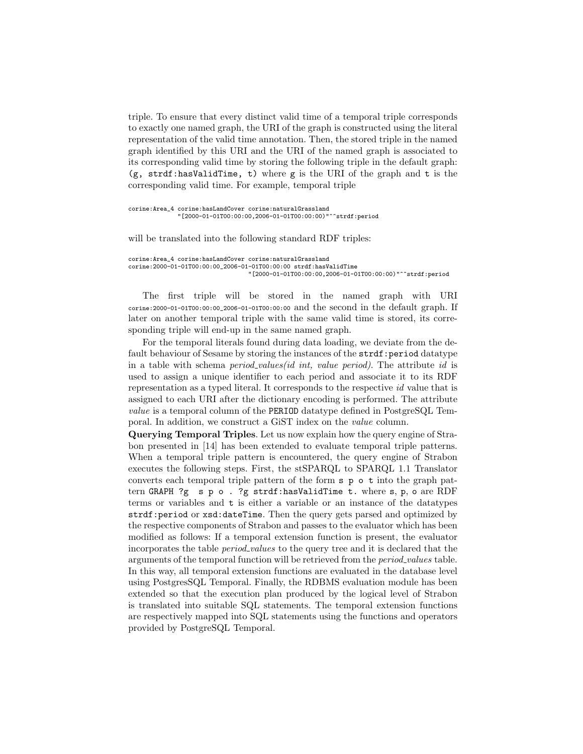triple. To ensure that every distinct valid time of a temporal triple corresponds to exactly one named graph, the URI of the graph is constructed using the literal representation of the valid time annotation. Then, the stored triple in the named graph identified by this URI and the URI of the named graph is associated to its corresponding valid time by storing the following triple in the default graph: (g, strdf:hasValidTime, t) where g is the URI of the graph and t is the corresponding valid time. For example, temporal triple

```
corine:Area_4 corine:hasLandCover corine:naturalGrassland
              "[2000-01-01T00:00:00,2006-01-01T00:00:00)"^^strdf:period
```
will be translated into the following standard RDF triples:

```
corine:Area_4 corine:hasLandCover corine:naturalGrassland
corine:2000-01-01T00:00:00_2006-01-01T00:00:00 strdf:hasValidTime
                                  "[2000-01-01T00:00:00,2006-01-01T00:00:00)"^^strdf:period
```
The first triple will be stored in the named graph with URI corine:2000-01-01T00:00:00\_2006-01-01T00:00:00 and the second in the default graph. If later on another temporal triple with the same valid time is stored, its corresponding triple will end-up in the same named graph.

For the temporal literals found during data loading, we deviate from the default behaviour of Sesame by storing the instances of the strdf:period datatype in a table with schema  $period\_values(id \ int, value \ period)$ . The attribute id is used to assign a unique identifier to each period and associate it to its RDF representation as a typed literal. It corresponds to the respective id value that is assigned to each URI after the dictionary encoding is performed. The attribute value is a temporal column of the PERIOD datatype defined in PostgreSQL Temporal. In addition, we construct a GiST index on the value column.

Querying Temporal Triples. Let us now explain how the query engine of Strabon presented in [14] has been extended to evaluate temporal triple patterns. When a temporal triple pattern is encountered, the query engine of Strabon executes the following steps. First, the stSPARQL to SPARQL 1.1 Translator converts each temporal triple pattern of the form s p o t into the graph pattern GRAPH ?g s p o . ?g strdf:hasValidTime t. where s, p, o are RDF terms or variables and t is either a variable or an instance of the datatypes strdf:period or xsd:dateTime. Then the query gets parsed and optimized by the respective components of Strabon and passes to the evaluator which has been modified as follows: If a temporal extension function is present, the evaluator incorporates the table *period\_values* to the query tree and it is declared that the arguments of the temporal function will be retrieved from the *period\_values* table. In this way, all temporal extension functions are evaluated in the database level using PostgresSQL Temporal. Finally, the RDBMS evaluation module has been extended so that the execution plan produced by the logical level of Strabon is translated into suitable SQL statements. The temporal extension functions are respectively mapped into SQL statements using the functions and operators provided by PostgreSQL Temporal.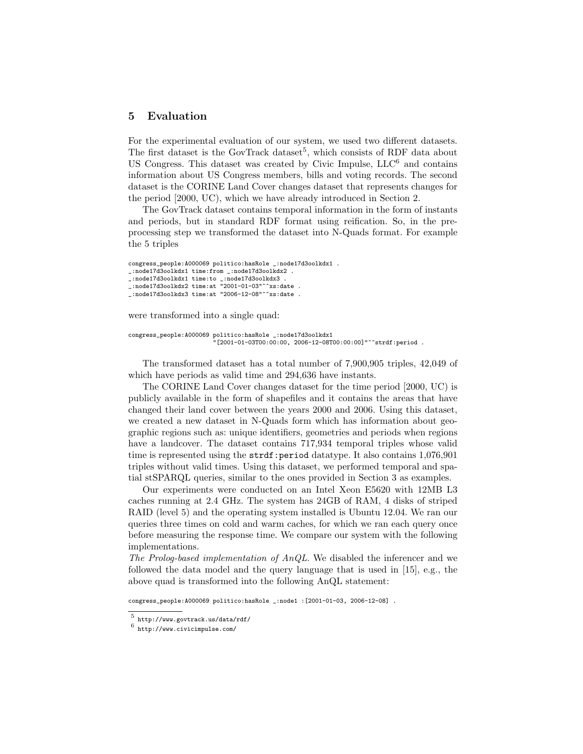#### 5 Evaluation

For the experimental evaluation of our system, we used two different datasets. The first dataset is the GovTrack dataset<sup>5</sup>, which consists of RDF data about US Congress. This dataset was created by Civic Impulse,  $LLC<sup>6</sup>$  and contains information about US Congress members, bills and voting records. The second dataset is the CORINE Land Cover changes dataset that represents changes for the period [2000, UC), which we have already introduced in Section 2.

The GovTrack dataset contains temporal information in the form of instants and periods, but in standard RDF format using reification. So, in the preprocessing step we transformed the dataset into N-Quads format. For example the 5 triples

congress\_people:A000069 politico:hasRole \_:node17d3oolkdx1 . \_:node17d3oolkdx1 time:from \_:node17d3oolkdx2 . \_:node17d3oolkdx1 time:to \_:node17d3oolkdx3 . \_:node17d3oolkdx2 time:at "2001-01-03"^^xs:date . \_:node17d3oolkdx3 time:at "2006-12-08"^^xs:date .

were transformed into a single quad:

```
congress_people:A000069 politico:hasRole _:node17d3oolkdx1
                        "[2001-01-03T00:00:00, 2006-12-08T00:00:00]"^^strdf:period .
```
The transformed dataset has a total number of 7,900,905 triples, 42,049 of which have periods as valid time and 294,636 have instants.

The CORINE Land Cover changes dataset for the time period [2000, UC) is publicly available in the form of shapefiles and it contains the areas that have changed their land cover between the years 2000 and 2006. Using this dataset, we created a new dataset in N-Quads form which has information about geographic regions such as: unique identifiers, geometries and periods when regions have a landcover. The dataset contains 717,934 temporal triples whose valid time is represented using the strdf: period datatype. It also contains 1,076,901 triples without valid times. Using this dataset, we performed temporal and spatial stSPARQL queries, similar to the ones provided in Section 3 as examples.

Our experiments were conducted on an Intel Xeon E5620 with 12MB L3 caches running at 2.4 GHz. The system has 24GB of RAM, 4 disks of striped RAID (level 5) and the operating system installed is Ubuntu 12.04. We ran our queries three times on cold and warm caches, for which we ran each query once before measuring the response time. We compare our system with the following implementations.

The Prolog-based implementation of AnQL. We disabled the inferencer and we followed the data model and the query language that is used in [15], e.g., the above quad is transformed into the following AnQL statement:

congress\_people:A000069 politico:hasRole \_:node1 :[2001-01-03, 2006-12-08] .

<sup>5</sup> http://www.govtrack.us/data/rdf/

 $^6$  http://www.civicimpulse.com/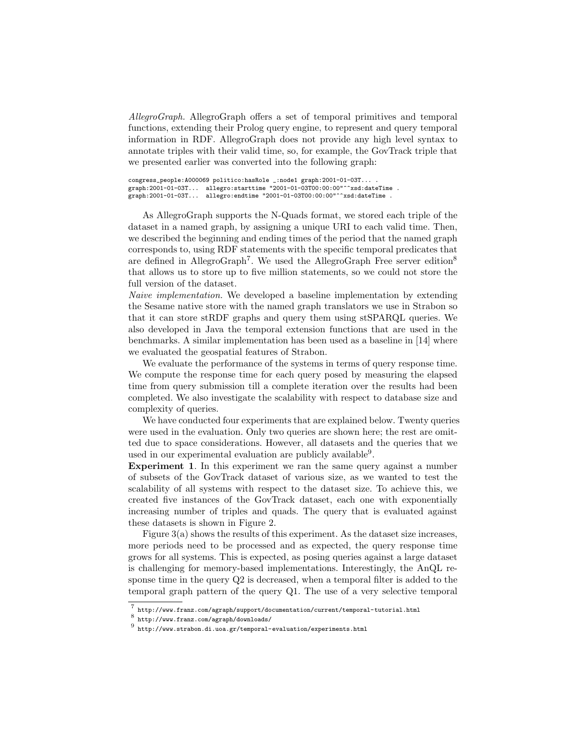AllegroGraph. AllegroGraph offers a set of temporal primitives and temporal functions, extending their Prolog query engine, to represent and query temporal information in RDF. AllegroGraph does not provide any high level syntax to annotate triples with their valid time, so, for example, the GovTrack triple that we presented earlier was converted into the following graph:

congress\_people:A000069 politico:hasRole \_:node1 graph:2001-01-03T... . graph:2001-01-03T... allegro:starttime "2001-01-03T00:00:00"^^xsd:dateTime . graph:2001-01-03T... allegro:endtime "2001-01-03T00:00:00"^^xsd:dateTime

As AllegroGraph supports the N-Quads format, we stored each triple of the dataset in a named graph, by assigning a unique URI to each valid time. Then, we described the beginning and ending times of the period that the named graph corresponds to, using RDF statements with the specific temporal predicates that are defined in AllegroGraph<sup>7</sup>. We used the AllegroGraph Free server edition<sup>8</sup> that allows us to store up to five million statements, so we could not store the full version of the dataset.

Naive implementation. We developed a baseline implementation by extending the Sesame native store with the named graph translators we use in Strabon so that it can store stRDF graphs and query them using stSPARQL queries. We also developed in Java the temporal extension functions that are used in the benchmarks. A similar implementation has been used as a baseline in [14] where we evaluated the geospatial features of Strabon.

We evaluate the performance of the systems in terms of query response time. We compute the response time for each query posed by measuring the elapsed time from query submission till a complete iteration over the results had been completed. We also investigate the scalability with respect to database size and complexity of queries.

We have conducted four experiments that are explained below. Twenty queries were used in the evaluation. Only two queries are shown here; the rest are omitted due to space considerations. However, all datasets and the queries that we used in our experimental evaluation are publicly available<sup>9</sup>.

Experiment 1. In this experiment we ran the same query against a number of subsets of the GovTrack dataset of various size, as we wanted to test the scalability of all systems with respect to the dataset size. To achieve this, we created five instances of the GovTrack dataset, each one with exponentially increasing number of triples and quads. The query that is evaluated against these datasets is shown in Figure 2.

Figure 3(a) shows the results of this experiment. As the dataset size increases, more periods need to be processed and as expected, the query response time grows for all systems. This is expected, as posing queries against a large dataset is challenging for memory-based implementations. Interestingly, the AnQL response time in the query Q2 is decreased, when a temporal filter is added to the temporal graph pattern of the query Q1. The use of a very selective temporal

<sup>7</sup> http://www.franz.com/agraph/support/documentation/current/temporal-tutorial.html

<sup>8</sup> http://www.franz.com/agraph/downloads/

 $^9$  http://www.strabon.di.uoa.gr/temporal-evaluation/experiments.html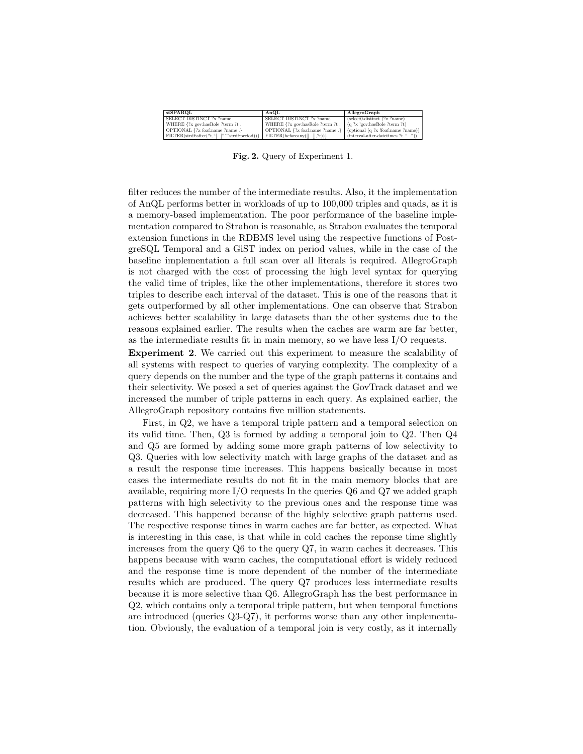| stSPAROL                                                                                                                | AnOL                                                                               | AllegroGraph                            |
|-------------------------------------------------------------------------------------------------------------------------|------------------------------------------------------------------------------------|-----------------------------------------|
| SELECT DISTINCT ?x ?name                                                                                                | SELECT DISTINCT ?x ?name                                                           | $\left($ select0-distinct $($ ?x ?name) |
| WHERE $\{?x\}$ gov:has Role $?term\$ $?t$ .                                                                             | WHERE $\{?x\}$ gov:hasRole ?term ?t. $\left  \right $ (q ?x !gov:hasRole ?term ?t) |                                         |
| OPTIONAL {?x foaf:name ?name .}                                                                                         | OPTIONAL {?x foaf:name ?name } (optional (q ?x !foaf:name ?name))                  |                                         |
| $\text{FLTER}(\text{strdf:after}(?t, "[]" \cap \text{strdf:period}))\} \mid \text{FLTER}(\text{beforeany}([[]], ?t))\}$ |                                                                                    | $(interval-after-dattetimes ?t$ "")     |

Fig. 2. Query of Experiment 1.

filter reduces the number of the intermediate results. Also, it the implementation of AnQL performs better in workloads of up to 100,000 triples and quads, as it is a memory-based implementation. The poor performance of the baseline implementation compared to Strabon is reasonable, as Strabon evaluates the temporal extension functions in the RDBMS level using the respective functions of PostgreSQL Temporal and a GiST index on period values, while in the case of the baseline implementation a full scan over all literals is required. AllegroGraph is not charged with the cost of processing the high level syntax for querying the valid time of triples, like the other implementations, therefore it stores two triples to describe each interval of the dataset. This is one of the reasons that it gets outperformed by all other implementations. One can observe that Strabon achieves better scalability in large datasets than the other systems due to the reasons explained earlier. The results when the caches are warm are far better, as the intermediate results fit in main memory, so we have less I/O requests.

Experiment 2. We carried out this experiment to measure the scalability of all systems with respect to queries of varying complexity. The complexity of a query depends on the number and the type of the graph patterns it contains and their selectivity. We posed a set of queries against the GovTrack dataset and we increased the number of triple patterns in each query. As explained earlier, the AllegroGraph repository contains five million statements.

First, in Q2, we have a temporal triple pattern and a temporal selection on its valid time. Then, Q3 is formed by adding a temporal join to Q2. Then Q4 and Q5 are formed by adding some more graph patterns of low selectivity to Q3. Queries with low selectivity match with large graphs of the dataset and as a result the response time increases. This happens basically because in most cases the intermediate results do not fit in the main memory blocks that are available, requiring more  $I/O$  requests In the queries  $Q6$  and  $Q7$  we added graph patterns with high selectivity to the previous ones and the response time was decreased. This happened because of the highly selective graph patterns used. The respective response times in warm caches are far better, as expected. What is interesting in this case, is that while in cold caches the reponse time slightly increases from the query Q6 to the query Q7, in warm caches it decreases. This happens because with warm caches, the computational effort is widely reduced and the response time is more dependent of the number of the intermediate results which are produced. The query Q7 produces less intermediate results because it is more selective than Q6. AllegroGraph has the best performance in Q2, which contains only a temporal triple pattern, but when temporal functions are introduced (queries Q3-Q7), it performs worse than any other implementation. Obviously, the evaluation of a temporal join is very costly, as it internally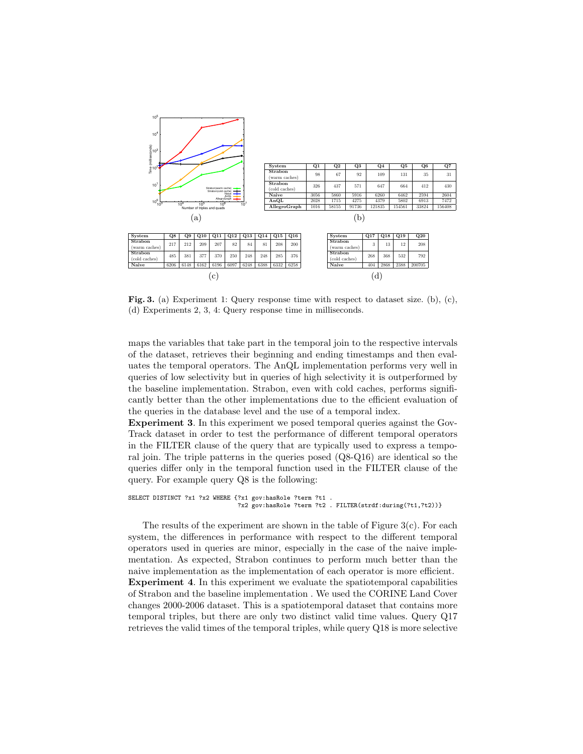

Fig. 3. (a) Experiment 1: Query response time with respect to dataset size. (b),  $(c)$ , (d) Experiments 2, 3, 4: Query response time in milliseconds.

maps the variables that take part in the temporal join to the respective intervals of the dataset, retrieves their beginning and ending timestamps and then evaluates the temporal operators. The AnQL implementation performs very well in queries of low selectivity but in queries of high selectivity it is outperformed by the baseline implementation. Strabon, even with cold caches, performs significantly better than the other implementations due to the efficient evaluation of the queries in the database level and the use of a temporal index.

Experiment 3. In this experiment we posed temporal queries against the Gov-Track dataset in order to test the performance of different temporal operators in the FILTER clause of the query that are typically used to express a temporal join. The triple patterns in the queries posed (Q8-Q16) are identical so the queries differ only in the temporal function used in the FILTER clause of the query. For example query Q8 is the following:

```
SELECT DISTINCT ?x1 ?x2 WHERE {?x1 gov:hasRole ?term ?t1 .
                               ?x2 gov:hasRole ?term ?t2 . FILTER(strdf:during(?t1,?t2))}
```
The results of the experiment are shown in the table of Figure  $3(c)$ . For each system, the differences in performance with respect to the different temporal operators used in queries are minor, especially in the case of the naive implementation. As expected, Strabon continues to perform much better than the naive implementation as the implementation of each operator is more efficient. Experiment 4. In this experiment we evaluate the spatiotemporal capabilities of Strabon and the baseline implementation . We used the CORINE Land Cover changes 2000-2006 dataset. This is a spatiotemporal dataset that contains more temporal triples, but there are only two distinct valid time values. Query Q17 retrieves the valid times of the temporal triples, while query Q18 is more selective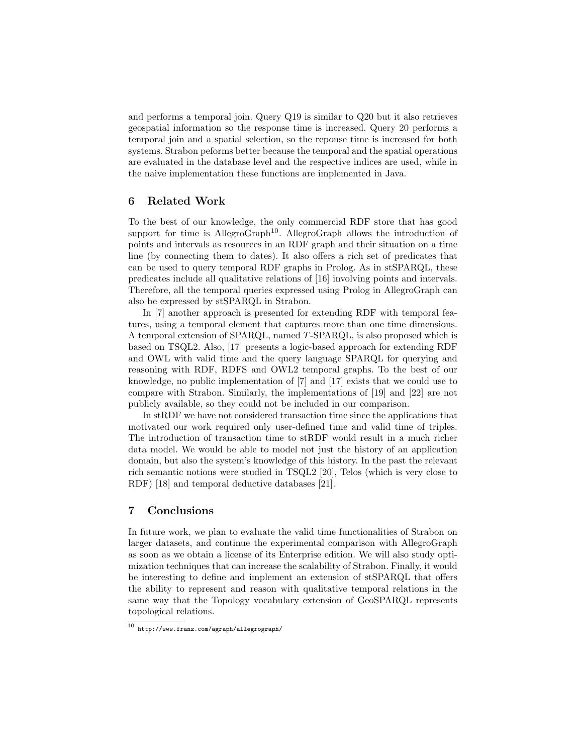and performs a temporal join. Query Q19 is similar to Q20 but it also retrieves geospatial information so the response time is increased. Query 20 performs a temporal join and a spatial selection, so the reponse time is increased for both systems. Strabon peforms better because the temporal and the spatial operations are evaluated in the database level and the respective indices are used, while in the naive implementation these functions are implemented in Java.

### 6 Related Work

To the best of our knowledge, the only commercial RDF store that has good support for time is AllegroGraph<sup>10</sup>. AllegroGraph allows the introduction of points and intervals as resources in an RDF graph and their situation on a time line (by connecting them to dates). It also offers a rich set of predicates that can be used to query temporal RDF graphs in Prolog. As in stSPARQL, these predicates include all qualitative relations of [16] involving points and intervals. Therefore, all the temporal queries expressed using Prolog in AllegroGraph can also be expressed by stSPARQL in Strabon.

In [7] another approach is presented for extending RDF with temporal features, using a temporal element that captures more than one time dimensions. A temporal extension of SPARQL, named T-SPARQL, is also proposed which is based on TSQL2. Also, [17] presents a logic-based approach for extending RDF and OWL with valid time and the query language SPARQL for querying and reasoning with RDF, RDFS and OWL2 temporal graphs. To the best of our knowledge, no public implementation of [7] and [17] exists that we could use to compare with Strabon. Similarly, the implementations of [19] and [22] are not publicly available, so they could not be included in our comparison.

In stRDF we have not considered transaction time since the applications that motivated our work required only user-defined time and valid time of triples. The introduction of transaction time to stRDF would result in a much richer data model. We would be able to model not just the history of an application domain, but also the system's knowledge of this history. In the past the relevant rich semantic notions were studied in TSQL2 [20], Telos (which is very close to RDF) [18] and temporal deductive databases [21].

## 7 Conclusions

In future work, we plan to evaluate the valid time functionalities of Strabon on larger datasets, and continue the experimental comparison with AllegroGraph as soon as we obtain a license of its Enterprise edition. We will also study optimization techniques that can increase the scalability of Strabon. Finally, it would be interesting to define and implement an extension of stSPARQL that offers the ability to represent and reason with qualitative temporal relations in the same way that the Topology vocabulary extension of GeoSPARQL represents topological relations.

 $\overline{10\,}$ http://www.franz.com/agraph/allegrograph/